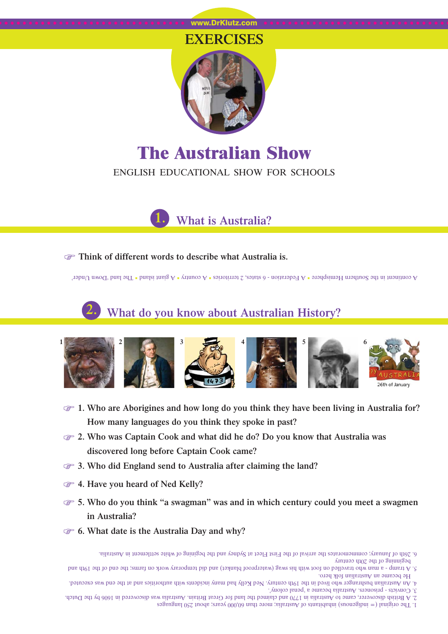#### www.DrKlutz.com

## **EXERCISES**



# **The Australian Show** ENGLISH EDUCATIONAL SHOW FOR SCHOOLS

**1. What is Australia?**

#### **F** Think of different words to describe what Australia is.

A giant in the land 1 and 1 and 1 a Federation - 6 states, 2 territories **8 A** country 8 A states 1 and Under' Fibrary Under'

# **2. What do you know about Australian History?**



- F **1. Who are Aborigines and how long do you think they have been living in Australia for? How many languages do you think they spoke in past?**
- F **2. Who was Captain Cook and what did he do? Do you know that Australia was discovered long before Captain Cook came?**
- F **3. Who did England send to Australia after claiming the land?**
- F **4. Have you heard of Ned Kelly?**
- F **5. Who do you think "a swagman" was and in which century could you meet a swagmen in Australia?**
- F **6. What date is the Australia Day and why?**
	- beginning of the 20th century 6. 26th of January; commemorates the arrival of the First Fleet at Sydney and the begining of white settlement in Australia.
- He became an Australian folk hero. b and 5. A tramp - a man of travelled on foot with his swag (waterproof blanket) blank his small temporary work on farms; the end of the 19th and the  $n_{\rm eff}$
- 3. Convicts prisoners. Australia became a 'penal colony'. 4. An Australian bushranger who lived in the 19th century. Ned Kelly had many incidents third many incidents and at the end was executed.
- 1. The original  $(=$  indigenous) inhabitants of Australia; more than 60,000 years; about 250 languages 2. A British discoverer, came to Australia in 1770 and claimed the land for Great Britain. Australia is a was discovered in 1606 by the Dutch.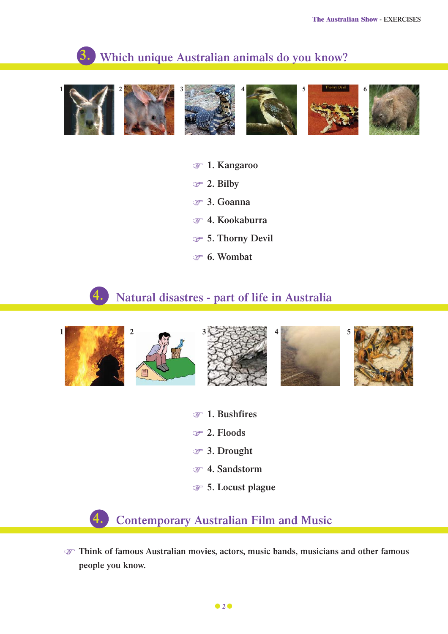#### **Which unique Australian animals do you know? 3.**



- F **1. Kangaroo**
- F **2. Bilby**
- F **3. Goanna**
- F **4. Kookaburra**
- F **5. Thorny Devil**
- F **6. Wombat**

## **4. Natural disastres - part of life in Australia**



- F **1. Bushfires**
- F **2. Floods**
- F **3. Drought**
- F **4. Sandstorm**
- F **5. Locust plague**

**4. Contemporary Australian Film and Music**

F **Think of famous Australian movies, actors, music bands, musicians and other famous people you know.**